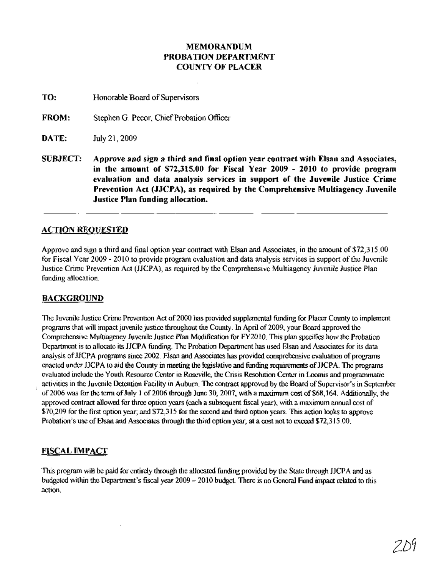### MEMORANDUM PROBATION DEPARTMENT COUNTY OF PLACER

TO: Honorable Board of Supervisors

FROM: Stephen G. Pecor, Chief Probation Officer

**DATE:** July 21, 2009

SUBJECT: Approve and sign a third and final option year contract with Elsan and Associates, in the amount of \$72,315.00 for Fiscal Year 2009 - 2010 to provide program evaluation and data analysis services in support of the Juvenile Justice Crime Prevention Act (JJCPA), as required by the Comprehensive Multiagency Juvenile Justice Plan funding allocation.

### **ACTION REQUESTED**

Approve and sign a third and final option year contract with Elsan and Associates, in the amount of \$72,315.00 for Fiscal Year 2009 - 2010 to provide program evaluation and data analysis services in support of the Juvenile Justice Crime Prevention Act (JJCPA), as required by the Comprehensive Multiagency Juvenile Justice Plan funding allocation.

#### BACKGROUND

The Juvenile Justice Crime Prevention Act of 2000 has provided supplemental funding for Placer County to implement programs that will impact juvenile justice throughout the County. In April of2009, your Board approved the Comprehensive Multiagency Juvenile Justice Plan Modification for FY201O. This plan specifies how the Probation Department is to allocate its JJCPA funding. The Probation Department has used Elsan and Associates for its data analysis of JJCPA programs since 2002. Elsan and Associates has provided comprehensive evaluation of programs enacted under JJCPA to aid the County in meeting the legislative and funding requirements ofJJCPA. The programs evaluated include the Youth Resource Center in Roseville, the Crisis Resolution Center in Loomis and programmatic activities in the Juvenile Detention Facility in Auburn. The contract approved by the Board of Supervisor's in September of 2006 was for the term of July 1 of 2006 through June 30, 2007, with a maximum cost of \$68,164. Additionally, the approved contract allowed for three option years (each a subsequent fiscal year), with a maximum annual cost of \$70,209 for the first option year; and \$72,315 for the second and third option years. This action looks to approve Probation's use of Elsan and Associates through the third option year, at a cost not to exceed \$72,315.00.

## FISCAL IMPACT

This program will be paid for entirely through the allocated funding provided by the State through JJCPA and as budgeted within the Department's fiscal year 2009 - 2010 budget. There is no General Fund impact related to this action.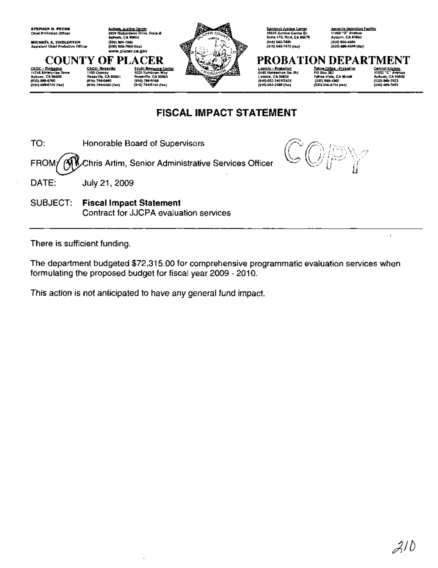

# FISCAL IMPACT STATEMENT

TO: Honorable Board of Supervisors FROM/ **AV** Chris Artim, Senior Administrative Services Officer



DATE: **July 21, 2009** 

SUBJECT: Fiscal Impact Statement Contract for JJCPA evaluation services

There is sufficient funding.

The department budgeted \$72,315.00 for comprehensive programmatic evaluation services when formulating the proposed budget for fiscal year 2009 - 2010.

This action is not anticipated to have any general fund impact.

÷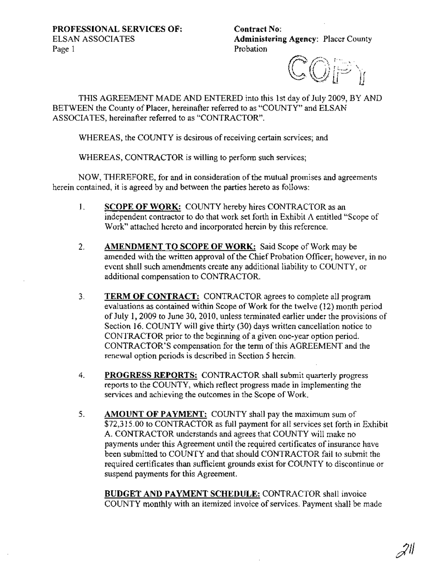Contract No: Administering Agency: Placer County Probation

 $\mathbb{CP}$  in

THIS AGREEMENT MADE AND ENTERED into this 1st day of July 2009, BY AND BETWEEN the County of Placer, hereinafter referred to as "COUNTY" and ELSAN ASSOCIATES, hereinafter referred to as "CONTRACTOR".

WHEREAS, the COUNTY is desirous of receiving certain services; and

WHEREAS, CONTRACTOR is willing to perform such services;

NOW, THEREFORE, for and in consideration of the mutual promises and agreements herein contained, it is agreed by and between the parties hereto as follows:

- 1. SCOPE OF WORK: COUNTY hereby hires CONTRACTOR as an independent contractor to do that work set forth in Exhibit A entitled "Scope of Work" attached hereto and incorporated herein by this reference.
- 2. AMENDMENT TO SCOPE OF WORK: Said Scope of Work may be amended with the written approval of the Chief Probation Officer; however, in no event shall such amendments create any additional liability to COUNTY, or additional compensation to CONTRACTOR.
- 3. TERM OF CONTRACT: CONTRACTOR agrees to complete all program evaluations as contained within Scope of Work for the twelve (12) month period of July 1, 2009 to June 30, 2010, unless terminated earlier under the provisions of Section 16. COUNTY will give thirty (30) days written cancellation notice to CONTRACTOR prior to the beginning of a given one-year option period. CONTRACTOR'S compensation for the term of this AGREEMENT and the renewal option periods is described in Section 5 herein.
- 4. PROGRESS REPORTS: CONTRACTOR shall submit quarterly progress reports to the COUNTY, which reflect progress made in implementing the services and achieving the outcomes in the Scope of Work.
- 5. AMOUNT OF PAYMENT: COUNTY shall pay the maximum sum of \$72,315.00 to CONTRACTOR as full payment for all services set forth in Exhibit A. CONTRACTOR understands and agrees that COUNTY will make no payments under this Agreement until the required certificates of insurance have been submitted to COUNTY and that should CONTRACTOR fail to submit the required certificates than sufficient grounds exist for COUNTY to discontinue or suspend payments for this Agreement.

BUDGET AND PAYMENT SCHEDULE: CONTRACTOR shall invoice COUNTY monthly with an itemized invoice of services. Payment shall be made

 $\mathscr{Z}^{\parallel}$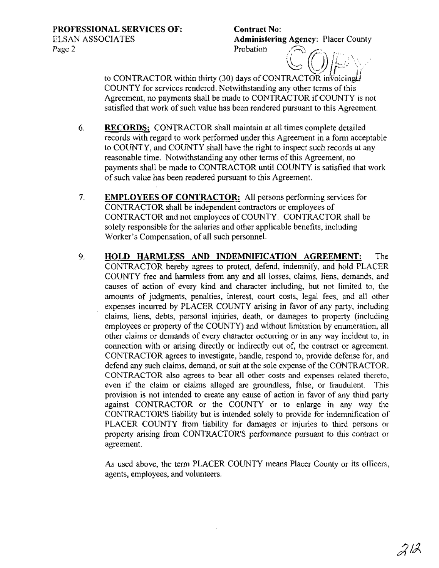Contract No: Administering Agency: Placer County Probation

to CONTRACTOR within thirty (30) days of CONTRACTOR invoicing  $\vec{H}$ COUNTY for services rendered. Notwithstanding any other terms of this Agreement, no payments shall be made to CONTRACTOR if COUNTY is not satisfied that work of such value has been rendered pursuant to this Agreement.

- 6. RECORDS: CONTRACTOR shall maintain at all times complete detailed records with regard to work performed under this Agreement in a form acceptable to COUNTY, and COUNTY shall have the right to inspect such records at any reasonable time. Notwithstanding any other terms of this Agreement, no payments shall be made to CONTRACTOR until COUNTY is satisfied that work ofsuch value has been rendered pursuant to this Agreement.
- 7. EMPLOYEES OF CONTRACTOR: All persons performing services for CONTRACTOR shall be independent contractors or employees of CONTRACTOR and not employees of COUNTY. CONTRACTOR shall be solely responsible for the salaries and other applicable benefits, including Worker's Compensation, of all such personnel.
- 9. **HOLD** HARMLESS AND INDEMNIFICATION AGREEMENT: The CONTRACTOR hereby agrees to protect, defend, indemnify, and hold PLACER COUNTY free and harmless from any and all losses, claims, liens, demands, and causes of action of every kind and character including, but not limited to, the amounts of judgments, penalties, interest, court costs, legal fees, and all other expenses incurred by PLACER COUNTY arising in favor of any party, including claims, liens, debts, personal injuries, death, or damages to property (including employees or property of the COUNTY) and without limitation by enumeration, all other claims or demands of every character occurring or in any way incident to, in connection with or arising directly or indirectly out of, the contract or agreement. CONTRACTOR agrees to investigate, handle, respond to, provide defense for, and defend any such claims, demand, or suit at the sole expense of the CONTRACTOR. CONTRACTOR also agrees to bear all other costs and expenses related thereto, even if the claim or claims alleged are groundless, false, or fraudulent. This provision is not intended to create any cause of action in favor of any third party against CONTRACTOR or the COUNTY or to enlarge in any way the CONTRACTOR'S liability but is intended solely to provide for indemnification of PLACER COUNTY from liability for damages or injuries to third persons or property arising from CONTRACTOR'S performance pursuant to this contract or agreement.

As used above, the term PLACER COUNTY means Placer County or its officers, agents, employees, and volunteers.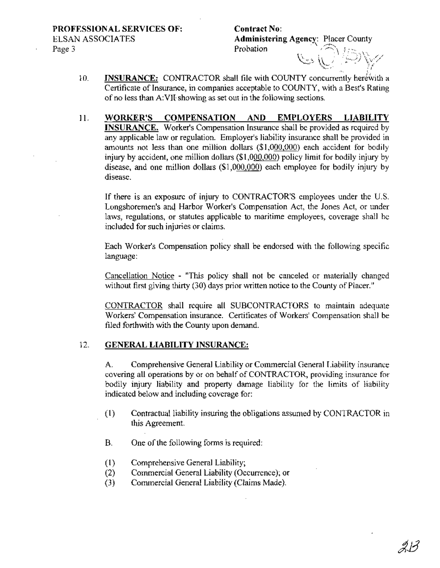# **Contract** No: **Administering Agency: Placer County**<br>Probation  $\alpha$  . In Terms  $\alpha$ ~') \\ / ;'--:) *\.'v/* .- '~~.- *rr*

- **INSURANCE:** CONTRACTOR shall file with COUNTY concurrently herewith a Certificate of Insurance, in companies acceptable to COUNTY, with a Best's Rating of no less than A:VII-showing as set out in the following sections. 10.
- **11. WORKER'S COMPENSATION AND EMPLOYERS LIABILITY INSURANCE.** Worker's Compensation Insurance shall be provided as required by any applicable law or regulation. Employer's liability insurance shall be provided in amounts not less than one million dollars (\$1,000,000) each accident for bodily injury by accident, one million dollars (\$1,000,000) policy limit for bodily injury by disease, and one million dollars (\$1,000,000) each employee for bodily injury by disease.

If there is an exposure of injury to CONTRACTOR'S employees under the U.S. Longshoremen's and Harbor Worker's Compensation Act, the Jones Act, or under laws, regulations, or statutes applicable to maritime employees, coverage shall be included for such injuries or claims.

Each Worker's Compensation policy shall be endorsed with the following specific language:

Cancellation Notice - "This policy shall not be canceled or materially changed without first giving thirty (30) days prior written notice to the County of Placer."

CONTRACTOR shall require all SUBCONTRACTORS to maintain adequate Workers' Compensation insurance. Certificates of Workers' Compensation shall be filed forthwith with the County upon demand.

### 12. **GENERAL LIABILITY INSURANCE:**

A. Comprehensive General Liability or Commercial General Liability insurance covering all operations by or on behalf of CONTRACTOR, providing insurance for bodily injury liability and property damage liability for the limits of liability indicated below and including coverage for:

- (1) Contractual liability insuring the obligations assumed by CONTRACTOR in this Agreement.
- B. One of the following forms is required:
- (1) Comprehensive General Liability;
- (2) Commercial General Liability (Occurrence); or
- (3) Commercial General Liability (Claims Made).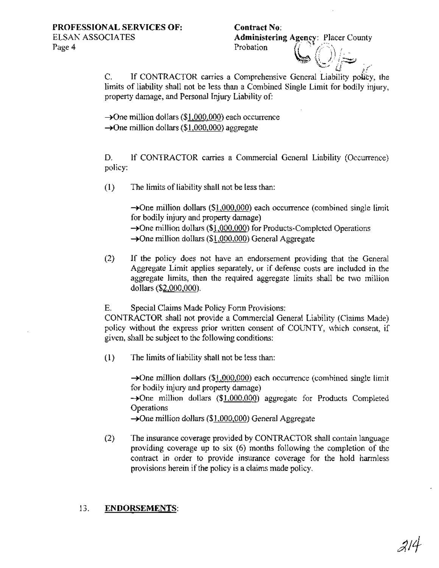## **Contract** No: Administering Agency: Placer County

 $\, \blacksquare \, \mathbb{(}) | \, \underline{\smile \,}$ 

 $\cup_{\ell}^{\infty}$  if C. If CONTRACTOR carries a Comprehensive General Liability policy, the limits of liability shall not be less than a Combined Single Limit for bodily injury, property damage, and Personal Injury Liability of:

Probation

 $\rightarrow$ One million dollars (\$1,000,000) each occurrence  $\rightarrow$ One million dollars (\$1,000,000) aggregate

D. If CONTRACTOR carries a Commercial General Liability (Occurrence) policy:

 $(1)$  The limits of liability shall not be less than:

 $\rightarrow$ One million dollars (\$1,000,000) each occurrence (combined single limit for bodily injury and property damage)  $\rightarrow$ One million dollars (\$1,000,000) for Products-Completed Operations  $\rightarrow$ One million dollars (\$1,000,000) General Aggregate

(2) If the policy does not have an endorsement providing that the General Aggregate Limit applies separately, or if defense costs are included in the aggregate limits, then the required aggregate limits shall be two million dollars (\$2,000,000).

E. Special Claims Made Policy Form Provisions:

CONTRACTOR shall not provide a Commercial General Liability (Claims Made) policy without the express prior written consent of COUNTY, which consent, if given, shall be subject to the following conditions:

 $(1)$  The limits of liability shall not be less than:

 $\rightarrow$ One million dollars (\$1,000,000) each occurrence (combined single limit for bodily injury and property damage)  $\rightarrow$ One million dollars (\$1,000,000) aggregate for Products Completed **Operations**  $\rightarrow$ One million dollars (\$1,000,000) General Aggregate

(2) The insurance coverage provided by CONTRACTOR shall contain language providing coverage up to six (6) months following the completion of the contract in order to provide insurance coverage for the hold harmless provisions herein if the policy is a claims made policy.

## 13. **ENDORSEMENTS:**

214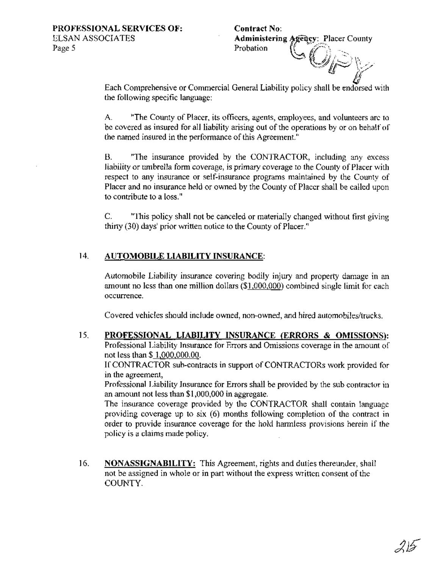**Contract** No: Administering Agency: Placer County Probation  $\cup$  ( )),  $>$ `*YF`}* 

Each Comprehensive or Commercial General Liability policy shall be endorsed with the following specific language:

A. "The County of Placer, its officers, agents, employees, and volunteers are to be covered as insured for all liability arising out of the operations by or on behalf of the named insured in the performance of this Agreement."

B. "The insurance provided by the CONTRACTOR, including any excess liability or umbrella form coverage, is primary coverage to the County of Placer with respect to any insurance or self-insurance programs maintained by the County of Placer and no insurance held or owned by the County of Placer shall be called upon to contribute to a loss."

C. "This policy shall not be canceled or materially changed without first giving thirty  $(30)$  days' prior written notice to the County of Placer."

# 14. **AUTOMOBILE LIABILITY INSURANCE:**

Automobile Liability insurance covering bodily injury and property damage in an amount no less than one million dollars (\$1,000,000) combined single limit for each occurrence.

Covered vehicles should include owned, non-owned, and hired automobiles/trucks.

15. **PROFESSIONAL LIABILITY INSURANCE (ERRORS & OMISSIONS):** Professional Liability Insurance for Errors and Omissions coverage in the amount of not less than \$ 1,000,000.00.

If CONTRACTOR sub-contracts in support of CONTRACTORs work provided for in the agreement,

Professional Liability Insurance for Errors shall be provided by the sub contractor in an amount not less than \$1,000,000 in aggregate.

The insurance coverage provided by the CONTRACTOR shall contain language providing coverage up to six (6) months following completion of the contract in order to provide insurance coverage for the hold harmless provisions herein if the policy is a claims made policy.

16. **NONASSIGNABILITY:** This Agreement, rights and duties thereunder, shall not be assigned in whole or in part without the express written consent of the COUNTY.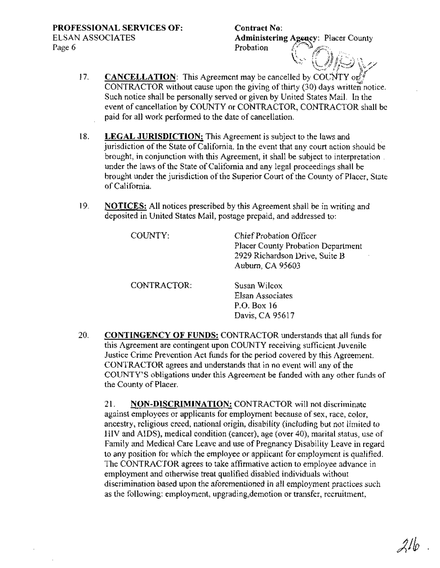**Contract** No: Administering Agency: Placer County Probation \ '"' '\ *f.':* iT <sup>J</sup>  $\#$   $\#$  $i\neq\cdots$  .

, where  $\mathcal{N}$  ,  $\mathcal{N}$  ,  $\mathcal{N}$  ,  $\mathcal{N}$ 

- **CANCELLATION:** This Agreement may be cancelled by COUNTY or CONTRACTOR without cause upon the giving of thirty  $(30)$  days written notice. Such notice shall be personally served or given by United States Mail. In the event of cancellation by COUNTY or CONTRACTOR, CONTRACTOR shall be paid for all work performed to the date of cancellation. 17.
- 18. **LEGAL JURISDICTION:** This Agreement is subject to the laws and jurisdiction of the State of California. In the event that any court action should be brought, in conjunction with this Agreement, it shall be subject to interpretation. under the laws of the State of California and any legal proceedings shall be brought under the jurisdiction of the Superior Court of the County of Placer, State ofCalifornia.
- 19. **NOTICES:** All notices prescribed by this Agreement shall be in writing and deposited in United States Mail, postage prepaid, and addressed to:

| COUNTY:     | Chief Probation Officer<br>Placer County Probation Department<br>2929 Richardson Drive, Suite B<br>Auburn, CA 95603 |
|-------------|---------------------------------------------------------------------------------------------------------------------|
| CONTRACTOR: | Susan Wilcox<br>Elsan Associates<br>P.O. Box 16<br>Davis, CA 95617                                                  |

20. **CONTINGENCY OF FUNDS:** CONTRACTOR understands that all funds for this Agreement are contingent upon COUNTY receiving sufficient Juvenile Justice Crime Prevention Act funds for the period covered by this Agreement. CONTRACTOR agrees and understands that in no event will any of the COUNTY'S obligations under this Agreement be funded with any other funds of the County of Placer.

21. **NON-DISCRIMINATION:** CONTRACTOR will not discriminate against employees or applicants for employment because of sex, race, color, ancestry, religious creed, national origin, disability (including but not limited to HIV and AIDS), medical condition (cancer), age (over 40), marital status, use of Family and Medical Care Leave and use of Pregnancy Disability Leave in regard to any position for which the employee or applicant for employment is qualified. The CONTRACTOR agrees to take affirmative action to employee advance in employment and otherwise treat qualified disabled individuals without discrimination based upon the aforementioned in all employment practices such as the following: employment, upgrading,demotion or transfer, recruitment,

21 lo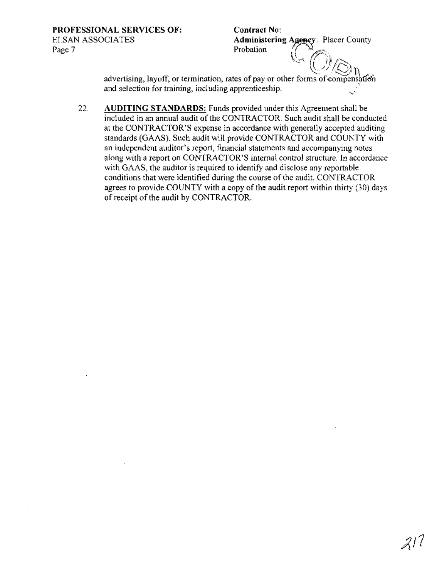**Contract No:** Administering Agency: Placer County Probation

advertising, layoff, or termination, rates of pay or other forms of compensation and selection for training, including apprenticeship.

 $22.$ **AUDITING STANDARDS:** Funds provided under this Agreement shall be included in an annual audit of the CONTRACTOR. Such audit shall be conducted at the CONTRACTOR'S expense in accordance with generally accepted auditing standards (GAAS). Such audit will provide CONTRACTOR and COUNTY with an independent auditor's report, financial statements and accompanying notes along with a report on CONTRACTOR'S internal control structure. In accordance with GAAS, the auditor is required to identify and disclose any reportable conditions that were identified during the course of the audit. CONTRACTOR agrees to provide COUNTY with a copy of the audit report within thirty (30) days of receipt of the audit by CONTRACTOR.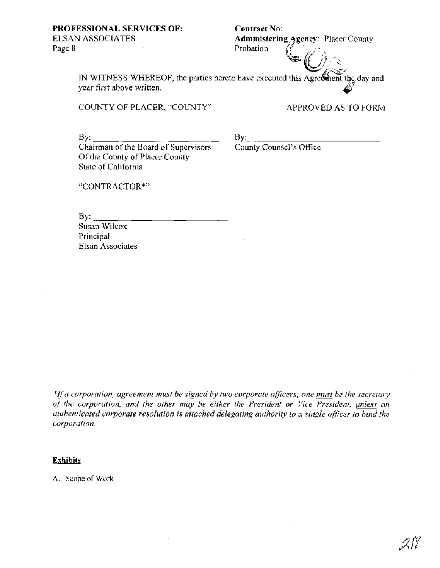# **Contract No:**

**Administering Agency: Placer County Probation**  $\left\{\begin{matrix} x_1, x_2, \dots, x_n \end{matrix}\right\}$ *ill/'*  $\cdot$ (O) $_\odot$  ,

IN WITNESS WHEREOF, the parties hereto have executed this Agreement the day and year first above written.

COUNTY OF PLACER, "COUNTY" APPROVED AS TO FORM

 $\mathbf{B} \mathbf{v}$ :

Chairman of the Board of Supervisors Of the County of Placer County State of California

 $\operatorname{By:}$ County Counsel's Office

"CONTRACTOR\*"

 $\rm\,By:$ Susan Wilcox

Principal Elsan Associates

*\*Jfa corporation, agreement must be signed by two corporate officers; one must be the secretary of the corporation, and the other may be either the President or Vice President, unless an authenticated corporate resolution is attached delegating authority to a single officer to bind the corporation.*

## **Exhibits**

A. Scope of Work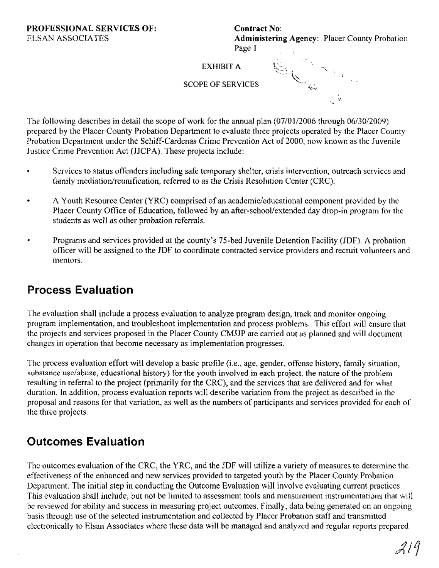Contract No: Administering Agency: Placer County Probation Page 1

**EXHIBIT A** 

--j

SCOPE OF SERVICES

The following describes in detail the scope of work for the annual plan (07/0112006 through 06/30/2009) prepared by the Placer County Probation Department to evaluate three projects operated by the Placer County Probation Department under the Schiff-Cardenas Crime Prevention Act of 2000, now known as the Juvenile Justice Crime Prevention Act (JJCPA). These projects include:

- Services to status offenders including safe temporary shelter, crisis intervention, outreach services and family mediation/reunification, referred to as the Crisis Resolution Center (CRC).
- A Youth Resource Center (YRC) comprised of an academic/educational component provided by the Placer County Office of Education, followed by an after-school/extended day drop-in program for the students as well as other probation referrals.
- Programs and services provided at the county's 75-bed Juvenile Detention Facility (JDF). A probation officer will be assigned to the JDF to coordinate contracted service providers and recruit volunteers and mentors.

# **Process Evaluation**

The evaluation shall include a process evaluation to analyze program design, track and monitor ongoing program implementation, and troubleshoot implementation and process problems. This effort will ensure that the projects and services proposed in the Placer County CMJJP are carried out as planned and will document changes in operation that become necessary as implementation progresses.

The process evaluation effort will develop a basic profile (i.e., age, gender, offense history, family situation, substance use/abuse, educational history) for the youth involved in each project, the nature of the problem resulting in referral to the project (primarily for the CRC), and the services that are delivered and for what duration. In addition, process evaluation reports will describe variation from the project as described in the proposal and reasons for that variation, as well as the numbers of participants and services provided for each of the three projects.

# **Outcomes Evaluation**

The outcomes evaluation of the CRC, the YRC, and the JDF will utilize a variety of measures to determine the effectiveness of the enhanced and new services provided to targeted youth by the Placer County Probation Department. The initial step in conducting the Outcome Evaluation will involve evaluating current practices. This evaluation shall include, but not be limited to assessment tools and measurement instrumentations that will be reviewed for ability and success in measuring project outcomes. Finally, data being generated on an ongoing basis through use of the selected instrumentation and collected by Placer Probation staff and transmitted electronically to Elsan Associates where these data will be managed and analyzed and regular reports prepared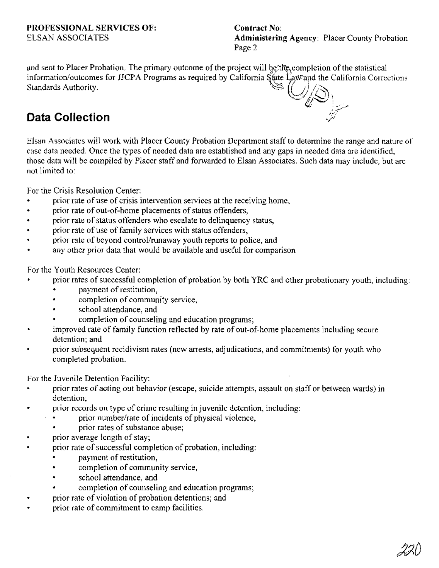**Contract No:** Administering Agency: Placer County Probation Page 2

and sent to Placer Probation. The primary outcome of the project will be the completion of the statistical information/outcomes for JJCPA Programs as required by California State Law and the California Corrections  $\mathbb{S}_{\mathbb{C}}$ Standards Authority.

# **Data Collection**



For the Crisis Resolution Center:

- prior rate of use of crisis intervention services at the receiving home,
- prior rate of out-of-home placements of status offenders,
- prior rate of status offenders who escalate to delinquency status,
- prior rate of use of family services with status offenders,
- prior rate of beyond control/runaway youth reports to police, and ٠
- any other prior data that would be available and useful for comparison

For the Youth Resources Center:

- prior rates of successful completion of probation by both YRC and other probationary youth, including:
	- payment of restitution,
	- completion of community service,
	- school attendance, and
	- completion of counseling and education programs;
- improved rate of family function reflected by rate of out-of-home placements including secure  $\blacksquare$ detention: and
- prior subsequent recidivism rates (new arrests, adjudications, and commitments) for youth who  $\bullet$ completed probation.

For the Juvenile Detention Facility:

- prior rates of acting out behavior (escape, suicide attempts, assault on staff or between wards) in detention.
- prior records on type of crime resulting in juvenile detention, including:
	- prior number/rate of incidents of physical violence,
	- prior rates of substance abuse;
- prior average length of stay;
- prior rate of successful completion of probation, including:
	- payment of restitution,
	- completion of community service, ٠
	- school attendance, and
	- completion of counseling and education programs;
- prior rate of violation of probation detentions; and  $\blacksquare$
- prior rate of commitment to camp facilities.